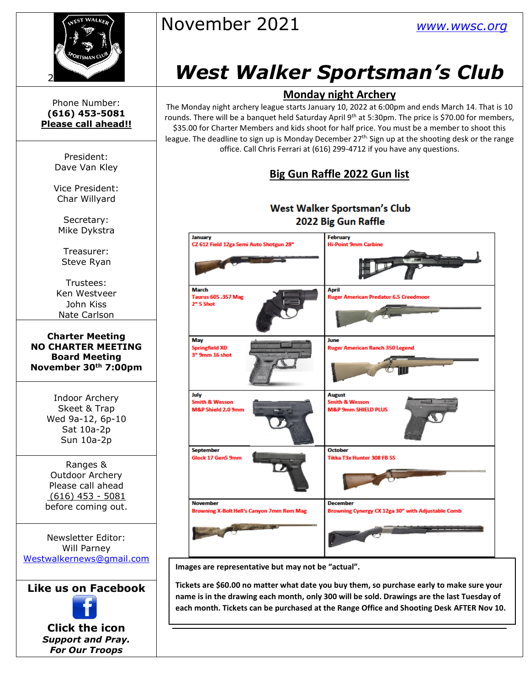

# November 2021 *[www.wwsc.org](http://www.wwsc.org/)*

# *West Walker Sportsman's Club*

#### **Monday night Archery**

The Monday night archery league starts January 10, 2022 at 6:00pm and ends March 14. That is 10 rounds. There will be a banquet held Saturday April 9<sup>th</sup> at 5:30pm. The price is \$70.00 for members, \$35.00 for Charter Members and kids shoot for half price. You must be a member to shoot this league. The deadline to sign up is Monday December 27<sup>th.</sup> Sign up at the shooting desk or the range office. Call Chris Ferrari at (616) 299-4712 if you have any questions.

#### **Big Gun Raffle 2022 Gun list**

#### West Walker Sportsman's Club 2022 Big Gun Raffle



**Images are representative but may not be "actual".**

**Tickets are \$60.00 no matter what date you buy them, so purchase early to make sure your name is in the drawing each month, only 300 will be sold. Drawings are the last Tuesday of each month. Tickets can be purchased at the Range Office and Shooting Desk AFTER Nov 10.** 

Phone Number: **(616) 453-5081 Please call ahead!!**

> President: Dave Van Kley

Vice President: Char Willyard

Secretary: Mike Dykstra

Treasurer: Steve Ryan

Trustees: Ken Westveer John Kiss Nate Carlson

**Charter Meeting NO CHARTER MEETING Board Meeting November 30th 7:00pm**

> Indoor Archery Skeet & Trap Wed 9a-12, 6p-10 Sat 10a-2p Sun 10a-2p

Ranges & Outdoor Archery Please call ahead (616) 453 - 5081 before coming out.

Newsletter Editor: Will Parney [Westwalkernews@gmail.com](mailto:Westwalkernews@gmail.com)

**Like us on Facebook**

**Click [the](http://commons.wikimedia.org/wiki/file:facebook_shiny_icon.svg) icon** *Suppo[rt an](http://commons.wikimedia.org/wiki/file:facebook_shiny_icon.svg)d Pray. For O[ur](http://commons.wikimedia.org/wiki/file:facebook_shiny_icon.svg) Troops*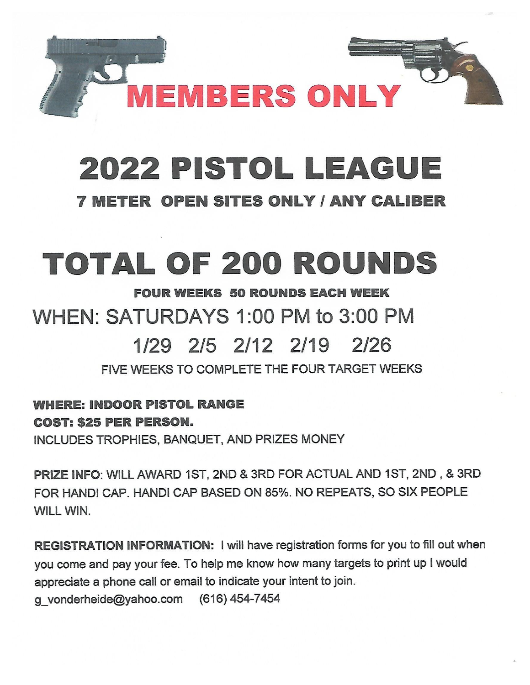

# 2022 PISTOL LEAGUE

## **7 METER OPEN SITES ONLY / ANY CALIBER**

# **TOTAL OF 200 ROUNDS**

## **FOUR WEEKS 50 ROUNDS EACH WEEK** WHEN: SATURDAYS 1:00 PM to 3:00 PM 1/29 2/5 2/12 2/19  $2126$

FIVE WEEKS TO COMPLETE THE FOUR TARGET WEEKS

**WHERE: INDOOR PISTOL RANGE COST: \$25 PER PERSON.** 

INCLUDES TROPHIES, BANQUET, AND PRIZES MONEY

PRIZE INFO: WILL AWARD 1ST, 2ND & 3RD FOR ACTUAL AND 1ST, 2ND, & 3RD FOR HANDI CAP. HANDI CAP BASED ON 85%. NO REPEATS, SO SIX PEOPLE WILL WIN.

REGISTRATION INFORMATION: I will have registration forms for you to fill out when you come and pay your fee. To help me know how many targets to print up I would appreciate a phone call or email to indicate your intent to join. g vonderheide@yahoo.com (616) 454-7454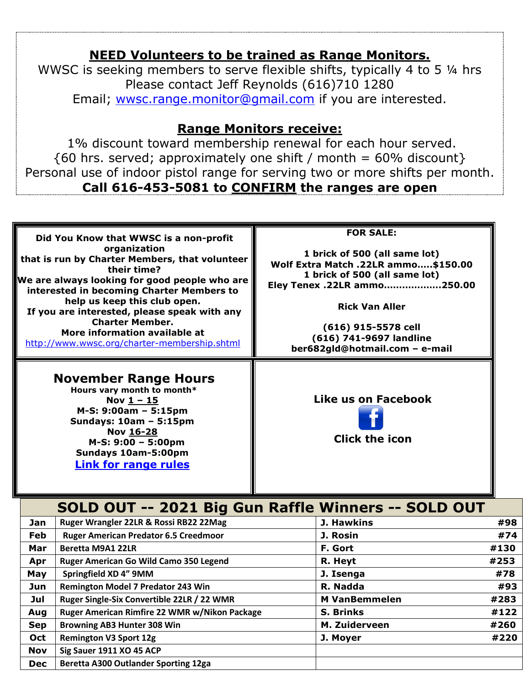### **NEED Volunteers to be trained as Range Monitors.**

WWSC is seeking members to serve flexible shifts, typically 4 to 5 ¼ hrs Please contact Jeff Reynolds (616)710 1280 Email; [wwsc.range.monitor@gmail.com](mailto:wwsc.range.monitor@gmail.com) if you are interested.

### **Range Monitors receive:**

1% discount toward membership renewal for each hour served.  ${60 \text{ hrs. served}}$ ; approximately one shift / month = 60% discount} Personal use of indoor pistol range for serving two or more shifts per month. **Call 616-453-5081 to CONFIRM the ranges are open**

|            | Did You Know that WWSC is a non-profit<br>organization<br>that is run by Charter Members, that volunteer<br>their time?<br>We are always looking for good people who are<br>interested in becoming Charter Members to<br>help us keep this club open.<br>If you are interested, please speak with any<br><b>Charter Member.</b><br>More information available at<br>http://www.wwsc.org/charter-membership.shtml<br><b>November Range Hours</b><br>Hours vary month to month*<br>Nov $1 - 15$<br>M-S: 9:00am - 5:15pm<br>Sundays: 10am - 5:15pm<br>Nov 16-28<br>M-S: 9:00 - 5:00pm<br>Sundays 10am-5:00pm<br><b>Link for range rules</b> | <b>FOR SALE:</b><br>1 brick of 500 (all same lot)<br>Wolf Extra Match .22LR ammo\$150.00<br>1 brick of 500 (all same lot)<br>Eley Tenex .22LR ammo250.00<br><b>Rick Van Aller</b><br>(616) 915-5578 cell<br>(616) 741-9697 landline<br>ber682gld@hotmail.com - e-mail<br>Like us on Facebook<br><b>Click the icon</b> |                     |             |  |
|------------|------------------------------------------------------------------------------------------------------------------------------------------------------------------------------------------------------------------------------------------------------------------------------------------------------------------------------------------------------------------------------------------------------------------------------------------------------------------------------------------------------------------------------------------------------------------------------------------------------------------------------------------|-----------------------------------------------------------------------------------------------------------------------------------------------------------------------------------------------------------------------------------------------------------------------------------------------------------------------|---------------------|-------------|--|
|            | SOLD OUT -- 2021 Big Gun Raffle Winners -- SOLD OUT                                                                                                                                                                                                                                                                                                                                                                                                                                                                                                                                                                                      |                                                                                                                                                                                                                                                                                                                       |                     |             |  |
| Jan        | Ruger Wrangler 22LR & Rossi RB22 22Mag                                                                                                                                                                                                                                                                                                                                                                                                                                                                                                                                                                                                   |                                                                                                                                                                                                                                                                                                                       | <b>J. Hawkins</b>   | #98         |  |
| <b>Feb</b> | <b>Ruger American Predator 6.5 Creedmoor</b>                                                                                                                                                                                                                                                                                                                                                                                                                                                                                                                                                                                             |                                                                                                                                                                                                                                                                                                                       | J. Rosin<br>F. Gort | #74<br>#130 |  |
| Mar        |                                                                                                                                                                                                                                                                                                                                                                                                                                                                                                                                                                                                                                          | <b>Beretta M9A1 22LR</b>                                                                                                                                                                                                                                                                                              |                     |             |  |
| Apr        | Ruger American Go Wild Camo 350 Legend                                                                                                                                                                                                                                                                                                                                                                                                                                                                                                                                                                                                   | R. Heyt                                                                                                                                                                                                                                                                                                               | #253                |             |  |
| May<br>Jun | Springfield XD 4" 9MM<br>Remington Model 7 Predator 243 Win                                                                                                                                                                                                                                                                                                                                                                                                                                                                                                                                                                              | J. Isenga<br>R. Nadda                                                                                                                                                                                                                                                                                                 | #78<br>#93          |             |  |
| Jul        | Ruger Single-Six Convertible 22LR / 22 WMR                                                                                                                                                                                                                                                                                                                                                                                                                                                                                                                                                                                               | <b>M VanBemmelen</b>                                                                                                                                                                                                                                                                                                  | #283                |             |  |
| Aug        | Ruger American Rimfire 22 WMR w/Nikon Package                                                                                                                                                                                                                                                                                                                                                                                                                                                                                                                                                                                            | <b>S. Brinks</b>                                                                                                                                                                                                                                                                                                      | #122                |             |  |
| <b>Sep</b> | <b>Browning AB3 Hunter 308 Win</b>                                                                                                                                                                                                                                                                                                                                                                                                                                                                                                                                                                                                       | M. Zuiderveen                                                                                                                                                                                                                                                                                                         | #260                |             |  |
| <b>Oct</b> | <b>Remington V3 Sport 12g</b>                                                                                                                                                                                                                                                                                                                                                                                                                                                                                                                                                                                                            | J. Moyer                                                                                                                                                                                                                                                                                                              | #220                |             |  |
| Nov        | Sig Sauer 1911 XO 45 ACP                                                                                                                                                                                                                                                                                                                                                                                                                                                                                                                                                                                                                 |                                                                                                                                                                                                                                                                                                                       |                     |             |  |
| <b>Dec</b> | Beretta A300 Outlander Sporting 12ga                                                                                                                                                                                                                                                                                                                                                                                                                                                                                                                                                                                                     |                                                                                                                                                                                                                                                                                                                       |                     |             |  |